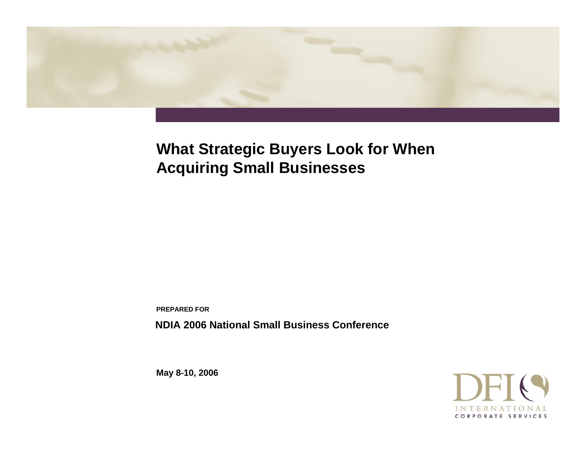

## **What Strategic Buyers Look for When Acquiring Small Businesses**

**PREPARED FOR**

**NDIA 2006 National Small Business Conference**

**May 8-10, 2006**

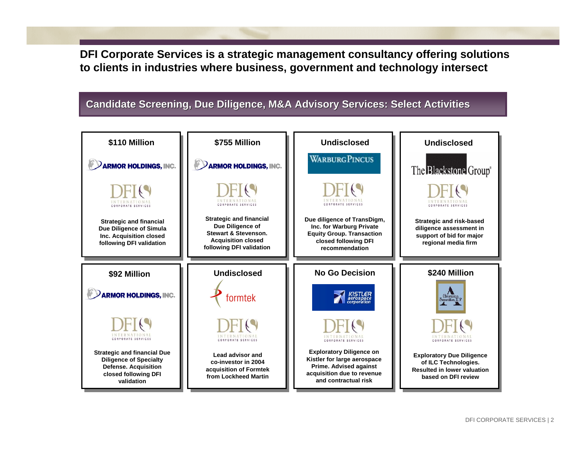**DFI Corporate Services is a strategic management consultancy offering solutions to clients in industries where business, government and technology intersect**

#### **Candidate Screening, Due Diligence, M&A Advisory Services: Select Activities**

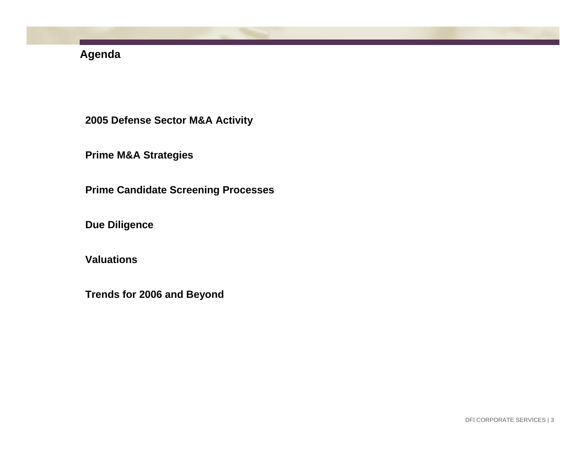## **Agenda**

**2005 Defense Sector M&A Activity**

**Prime M&A Strategies**

**Prime Candidate Screening Processes**

**Due Diligence**

**Valuations**

**Trends for 2006 and Beyond**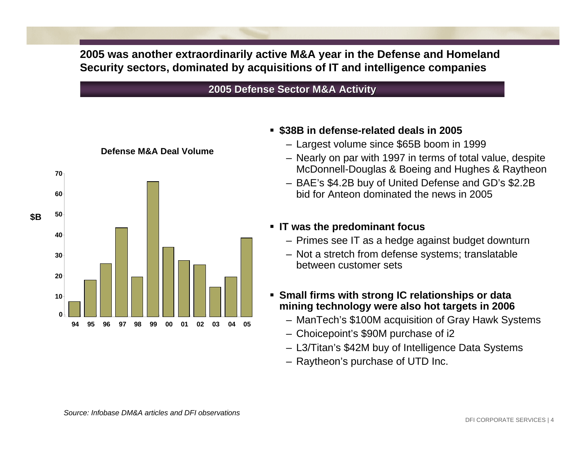**2005 was another extraordinarily active M&A year in the Defense and Homeland Security sectors, dominated by acquisitions of IT and intelligence companies** 

#### **2005 Defense Sector M&A Activity 2005 Defense Sector M&A Activity**



#### **\$38B in defense-related deals in 2005**

- Largest volume since \$65B boom in 1999
- Nearly on par with 1997 in terms of total value, despite McDonnell-Douglas & Boeing and Hughes & Raytheon
- BAE's \$4.2B buy of United Defense and GD's \$2.2B bid for Anteon dominated the news in 2005

#### **IT was the predominant focus**

- Primes see IT as a hedge against budget downturn
- Not a stretch from defense systems; translatable between customer sets
- **Small firms with strong IC relationships or data mining technology were also hot targets in 2006**
	- ManTech's \$100M acquisition of Gray Hawk Systems
	- Choicepoint's \$90M purchase of i2
	- L3/Titan's \$42M buy of Intelligence Data Systems
	- Raytheon's purchase of UTD Inc.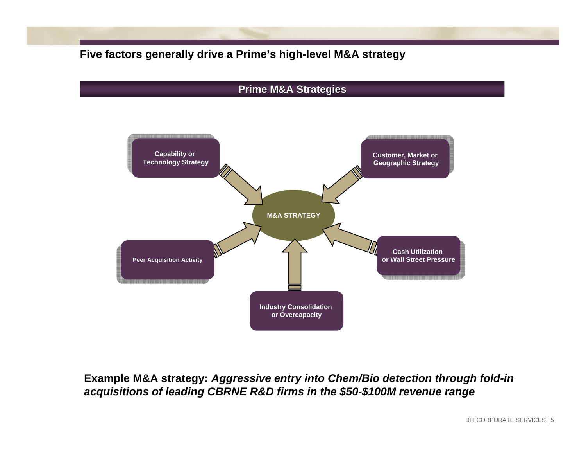**Five factors generally drive a Prime's high-level M&A strategy**



**Example M&A strategy:** *Aggressive entry into Chem/Bio detection through fold-in acquisitions of leading CBRNE R&D firms in the \$50-\$100M revenue range*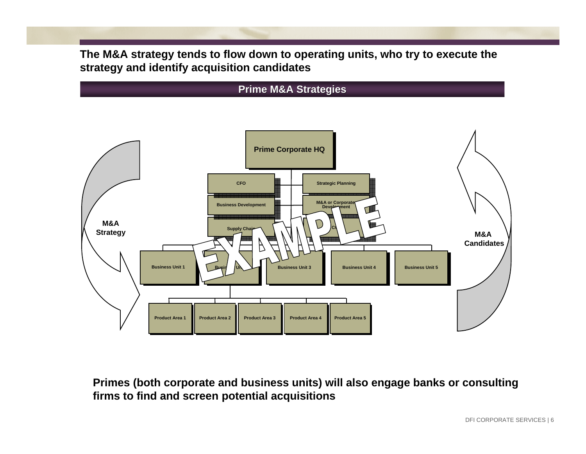**The M&A strategy tends to flow down to operating units, who try to execute the strategy and identify acquisition candidates**

#### **Prime M&A Strategies Prime M&A Strategies**



**Primes (both corporate and business units) will also engage banks or consulting firms to find and screen potential acquisitions**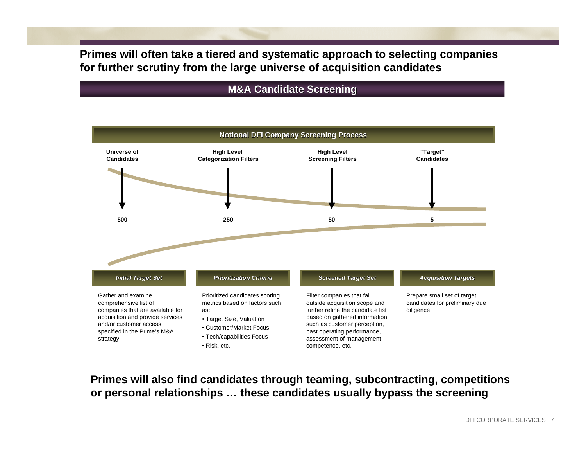**Primes will often take a tiered and systematic approach to selecting companies for further scrutiny from the large universe of acquisition candidates**

#### **M&A Candidate Screening**



**Primes will also find candidates through teaming, subcontracting, competitions or personal relationships … these candidates usually bypass the screening**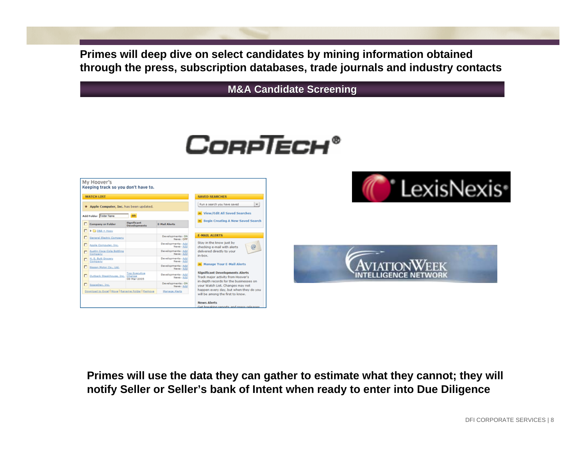**Primes will deep dive on select candidates by mining information obtained through the press, subscription databases, trade journals and industry contacts** 

**M&A Candidate Screening**

# **CORPTECH®**

| My Hoover's<br>Keeping track so you don't have to. |                                                                |                                                                              |
|----------------------------------------------------|----------------------------------------------------------------|------------------------------------------------------------------------------|
| <b>WATCH LIST</b>                                  |                                                                | <b>SAVED SEARCHES</b>                                                        |
| 9 Apple Computer, Inc. has been updated.           |                                                                | Run a search you have saved.<br>×.                                           |
| Add Folder Folder Name                             |                                                                | <b>w</b> View/Edit All Saved Searches                                        |
| Company or Folder                                  | Significant<br>Developments<br>E-Hail Alerts                   | <b>30</b> Begin Creating A New Saved Search                                  |
| $\Box$ + $\Box$ D&B + Hoox                         |                                                                |                                                                              |
| <b>D</b> General Electric Company                  | Developments: ON<br>Nevel OFF                                  | <b>E-MAIL ALERTS</b>                                                         |
| D Apple Computer, Inc.                             | Developments: Add<br><b>News: Add</b>                          | Stay in the know just by<br>$^{\circ}$<br>checking e-mail with alerts        |
| Contact Coca-Cola Bottling                         | Developments: Add<br>Never Add                                 | delivered directly to your<br>in-box.                                        |
| D B. L. Butt Grocery                               | Developmente: Add<br>News: Add                                 |                                                                              |
| E Hasan Motor Co., Ltd.                            | Developments: Add<br><b>Neve</b> n Add                         | <b>w</b> Manage Your E-Mail Alerts                                           |
| D Cythack Steakhouse, Inc. Change                  | Top Executive<br>Developments: Add<br>News: Add<br>08-Mar-2005 | <b>Significant Developments Alerts</b><br>Track major activity from Hoover's |
| E SpaceDex, Inc.                                   | Developments: ON<br>News: Add                                  | in-depth records for the businesses on<br>your Watch List. Changes may not   |
| Download to Excel   Move   Rename Folder   Remove  | Manage Alerta                                                  | happen every day, but when they do you<br>will be among the first to know.   |
|                                                    |                                                                | <b>News Alerts</b><br>Get branking reports and press releases.               |

**Primes will use the data they can gather to estimate what they cannot; they will notify Seller or Seller's bank of Intent when ready to enter into Due Diligence**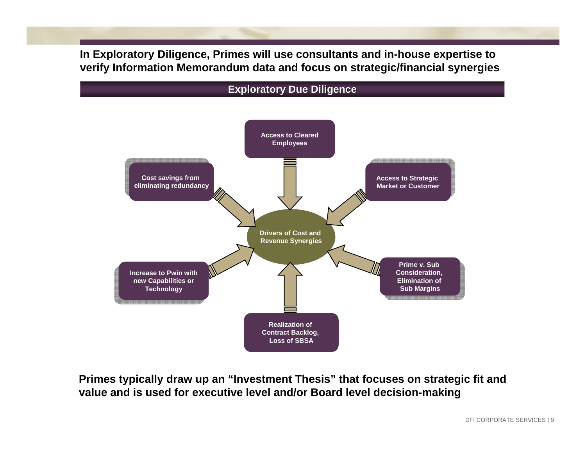**In Exploratory Diligence, Primes will use consultants and in-house expertise to verify Information Memorandum data and focus on strategic/financial synergies**

#### **Exploratory Due Diligence Exploratory Due Diligence**



**Primes typically draw up an "Investment Thesis" that focuses on strategic fit and value and is used for executive level and/or Board level decision-making**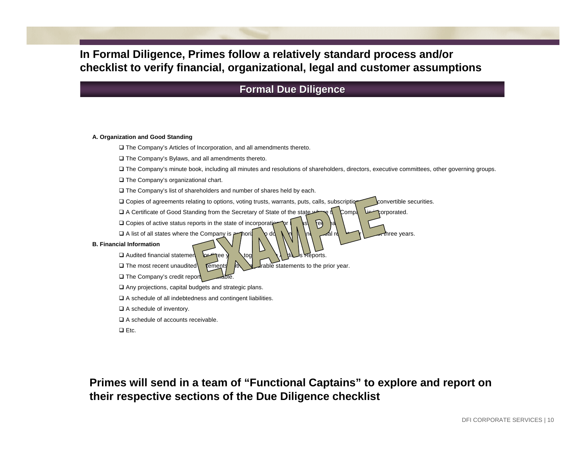### **In Formal Diligence, Primes follow a relatively standard process and/or checklist to verify financial, organizational, legal and customer assumptions**

#### **Formal Due Diligence Formal Due Diligence**

#### **A. Organization and Good Standing**

**□ The Company's Articles of Incorporation, and all amendments thereto.** 

**□ The Company's Bylaws, and all amendments thereto.** 

□ The Company's minute book, including all minutes and resolutions of shareholders, directors, executive committees, other governing groups.

**□ The Company's organizational chart.** 

 $\square$  The Company's list of shareholders and number of shares held by each.

- **Q** Copies of agreements relating to options, voting trusts, warrants, puts, calls, subscriptions, convertible securities.
- A Certificate of Good Standing from the Secretary of State of the state where the Company is incorporated.
- $\square$  Copies of active status reports in the state of incorporation for  $\parallel$  states the last three pairs.
- $\square$  A list of all states where the Company is authorice by do business and and and annual reports  $\square$  and  $\square$  three years.

#### **B. Financial Information**

- and Audited financial statement to the state year of the Audited for the Steports.
- $\square$  The most recent unaudited statements to the prior year.
- $\square$  The Company's credit report  $\square$  able.
- **□ Any projections, capital budgets and strategic plans.**
- **□ A schedule of all indebtedness and contingent liabilities.**
- A schedule of inventory.
- $\square$  A schedule of accounts receivable.

Etc.

**Primes will send in a team of "Functional Captains" to explore and report on their respective sections of the Due Diligence checklist**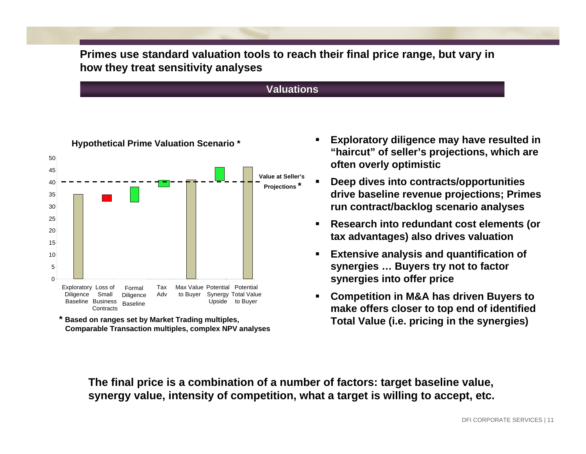**Primes use standard valuation tools to reach their final price range, but vary in how they treat sensitivity analyses** 

#### **Valuations Valuations**



**\* Based on ranges set by Market Trading multiples, Comparable Transaction multiples, complex NPV analyses**

- **Exploratory diligence may have resulted in "haircut" of seller's projections, which are often overly optimistic**
- **Deep dives into contracts/opportunities drive baseline revenue projections; Primes run contract/backlog scenario analyses**
- **Research into redundant cost elements (or tax advantages) also drives valuation**
- $\blacksquare$  **Extensive analysis and quantification of synergies … Buyers try not to factor synergies into offer price**
- $\blacksquare$  **Competition in M&A has driven Buyers to make offers closer to top end of identified Total Value (i.e. pricing in the synergies)**

**The final price is a combination of a number of factors: target baseline value, synergy value, intensity of competition, what a target is willing to accept, etc.**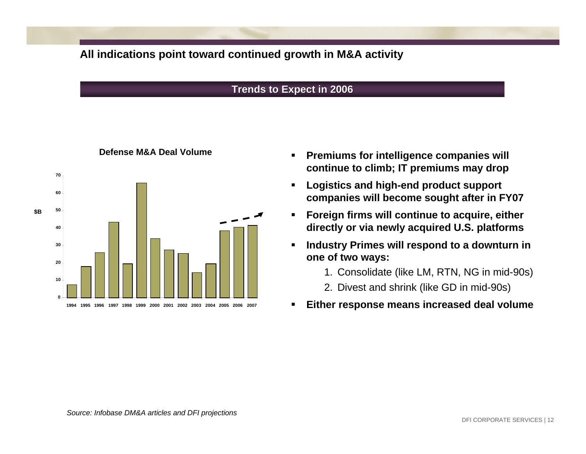**All indications point toward continued growth in M&A activity**

#### **Trends to Expect in 2006 Trends to Expect in 2006**

**010 20 304050 60 70**1994 1995 1996 1997 1998 1999 2000 2001 2002 2003 2004 2005 2006 2007 **\$B**

- $\blacksquare$  **Premiums for intelligence companies will continue to climb; IT premiums may drop**
- $\blacksquare$  **Logistics and high-end product support companies will become sought after in FY07**
- $\blacksquare$  **Foreign firms will continue to acquire, either directly or via newly acquired U.S. platforms**
- $\blacksquare$  **Industry Primes will respond to a downturn in one of two ways:**
	- 1. Consolidate (like LM, RTN, NG in mid-90s)
	- 2. Divest and shrink (like GD in mid-90s)
- $\blacksquare$ **Either response means increased deal volume**



**Defense M&A Deal Volume**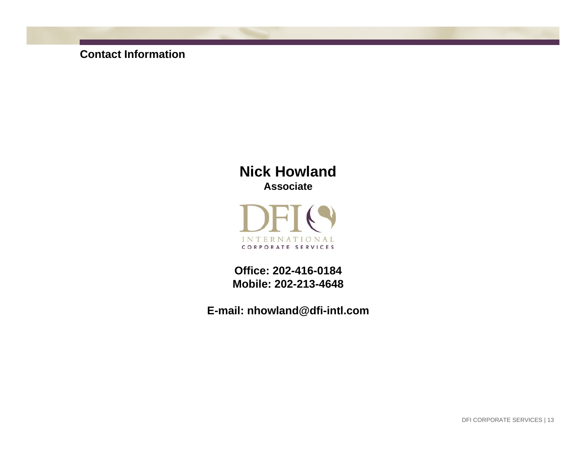**Contact Information**

## **Nick Howland Associate**



**Office: 202-416-0184 Mobile: 202-213-4648**

**E-mail: nhowland@dfi-intl.com**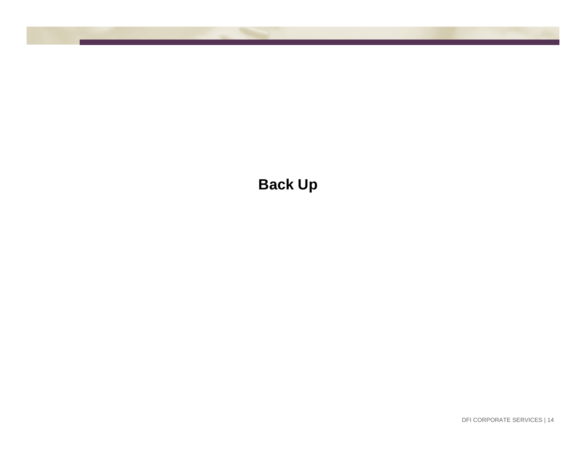**Back Up**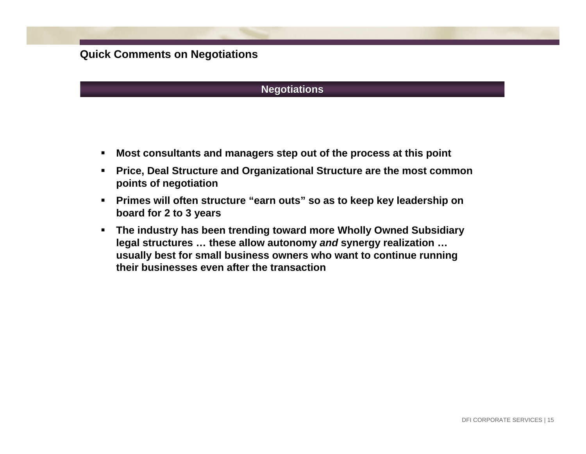#### **Quick Comments on Negotiations**

#### **Negotiations Negotiations**

- **Most consultants and managers step out of the process at this point**
- **Price, Deal Structure and Organizational Structure are the most common points of negotiation**
- **Primes will often structure "earn outs" so as to keep key leadership on board for 2 to 3 years**
- **The industry has been trending toward more Wholly Owned Subsidiary legal structures … these allow autonomy** *and* **synergy realization … usually best for small business owners who want to continue running their businesses even after the transaction**